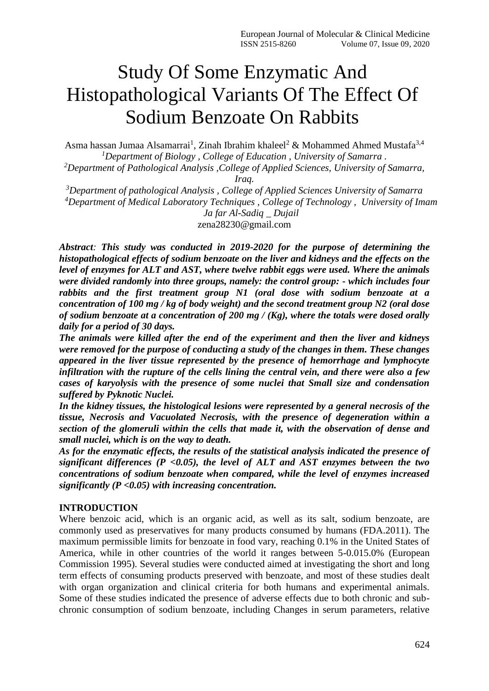# Study Of Some Enzymatic And Histopathological Variants Of The Effect Of Sodium Benzoate On Rabbits

Asma hassan Jumaa Alsamarrai<sup>1</sup>, Zinah Ibrahim khaleel<sup>2</sup> & Mohammed Ahmed Mustafa<sup>3,4</sup> *<sup>1</sup>Department of Biology , College of Education , University of Samarra . <sup>2</sup>Department of Pathological Analysis ,College of Applied Sciences, University of Samarra,* 

*Iraq.*

*<sup>3</sup>Department of pathological Analysis , College of Applied Sciences University of Samarra <sup>4</sup>Department of Medical Laboratory Techniques , College of Technology , University of Imam Ja far Al-Sadiq \_ Dujail* zena28230@gmail.com

*Abstract: This study was conducted in 2019-2020 for the purpose of determining the histopathological effects of sodium benzoate on the liver and kidneys and the effects on the level of enzymes for ALT and AST, where twelve rabbit eggs were used. Where the animals were divided randomly into three groups, namely: the control group: - which includes four rabbits and the first treatment group N1 (oral dose with sodium benzoate at a concentration of 100 mg / kg of body weight) and the second treatment group N2 (oral dose of sodium benzoate at a concentration of 200 mg / (Kg), where the totals were dosed orally daily for a period of 30 days.*

*The animals were killed after the end of the experiment and then the liver and kidneys were removed for the purpose of conducting a study of the changes in them. These changes appeared in the liver tissue represented by the presence of hemorrhage and lymphocyte infiltration with the rupture of the cells lining the central vein, and there were also a few cases of karyolysis with the presence of some nuclei that Small size and condensation suffered by Pyknotic Nuclei.*

*In the kidney tissues, the histological lesions were represented by a general necrosis of the tissue, Necrosis and Vacuolated Necrosis, with the presence of degeneration within a section of the glomeruli within the cells that made it, with the observation of dense and small nuclei, which is on the way to death.*

*As for the enzymatic effects, the results of the statistical analysis indicated the presence of significant differences (P <0.05), the level of ALT and AST enzymes between the two concentrations of sodium benzoate when compared, while the level of enzymes increased significantly (P <0.05) with increasing concentration.* 

## **INTRODUCTION**

Where benzoic acid, which is an organic acid, as well as its salt, sodium benzoate, are commonly used as preservatives for many products consumed by humans (FDA.2011). The maximum permissible limits for benzoate in food vary, reaching 0.1% in the United States of America, while in other countries of the world it ranges between 5-0.015.0% (European Commission 1995). Several studies were conducted aimed at investigating the short and long term effects of consuming products preserved with benzoate, and most of these studies dealt with organ organization and clinical criteria for both humans and experimental animals. Some of these studies indicated the presence of adverse effects due to both chronic and subchronic consumption of sodium benzoate, including Changes in serum parameters, relative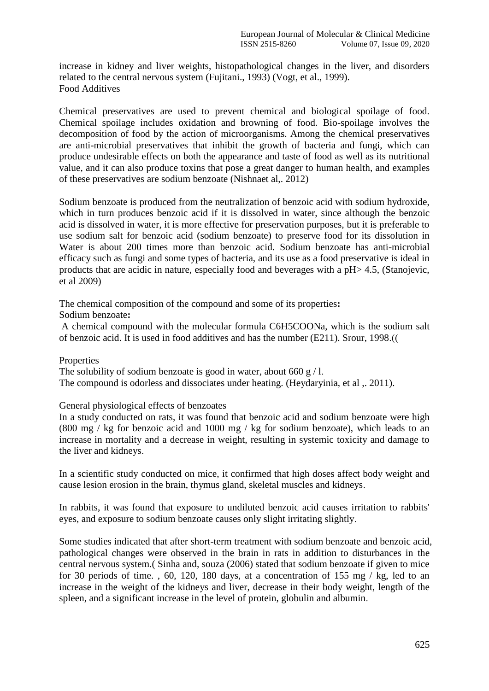increase in kidney and liver weights, histopathological changes in the liver, and disorders related to the central nervous system (Fujitani., 1993) (Vogt, et al., 1999). Food Additives

Chemical preservatives are used to prevent chemical and biological spoilage of food. Chemical spoilage includes oxidation and browning of food. Bio-spoilage involves the decomposition of food by the action of microorganisms. Among the chemical preservatives are anti-microbial preservatives that inhibit the growth of bacteria and fungi, which can produce undesirable effects on both the appearance and taste of food as well as its nutritional value, and it can also produce toxins that pose a great danger to human health, and examples of these preservatives are sodium benzoate (Nishnaet al,. 2012)

Sodium benzoate is produced from the neutralization of benzoic acid with sodium hydroxide, which in turn produces benzoic acid if it is dissolved in water, since although the benzoic acid is dissolved in water, it is more effective for preservation purposes, but it is preferable to use sodium salt for benzoic acid (sodium benzoate) to preserve food for its dissolution in Water is about 200 times more than benzoic acid. Sodium benzoate has anti-microbial efficacy such as fungi and some types of bacteria, and its use as a food preservative is ideal in products that are acidic in nature, especially food and beverages with a pH> 4.5, (Stanojevic, et al 2009)

The chemical composition of the compound and some of its properties**:**

Sodium benzoate**:**

A chemical compound with the molecular formula C6H5COONa, which is the sodium salt of benzoic acid. It is used in food additives and has the number (E211). Srour, 1998.(

## Properties

The solubility of sodium benzoate is good in water, about 660 g/l. The compound is odorless and dissociates under heating. (Heydaryinia, et al ,. 2011).

General physiological effects of benzoates

In a study conducted on rats, it was found that benzoic acid and sodium benzoate were high (800 mg / kg for benzoic acid and 1000 mg / kg for sodium benzoate), which leads to an increase in mortality and a decrease in weight, resulting in systemic toxicity and damage to the liver and kidneys.

In a scientific study conducted on mice, it confirmed that high doses affect body weight and cause lesion erosion in the brain, thymus gland, skeletal muscles and kidneys.

In rabbits, it was found that exposure to undiluted benzoic acid causes irritation to rabbits' eyes, and exposure to sodium benzoate causes only slight irritating slightly.

Some studies indicated that after short-term treatment with sodium benzoate and benzoic acid, pathological changes were observed in the brain in rats in addition to disturbances in the central nervous system.( Sinha and, souza (2006) stated that sodium benzoate if given to mice for 30 periods of time., 60, 120, 180 days, at a concentration of 155 mg  $/$  kg, led to an increase in the weight of the kidneys and liver, decrease in their body weight, length of the spleen, and a significant increase in the level of protein, globulin and albumin.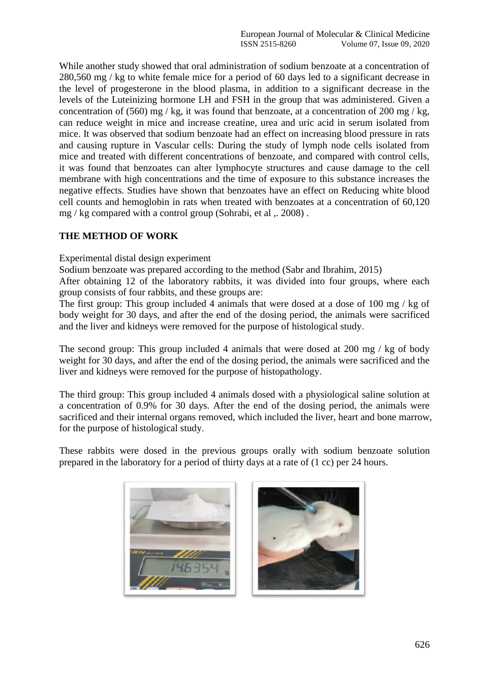While another study showed that oral administration of sodium benzoate at a concentration of 280,560 mg / kg to white female mice for a period of 60 days led to a significant decrease in the level of progesterone in the blood plasma, in addition to a significant decrease in the levels of the Luteinizing hormone LH and FSH in the group that was administered. Given a concentration of (560) mg / kg, it was found that benzoate, at a concentration of 200 mg / kg, can reduce weight in mice and increase creatine, urea and uric acid in serum isolated from mice. It was observed that sodium benzoate had an effect on increasing blood pressure in rats and causing rupture in Vascular cells: During the study of lymph node cells isolated from mice and treated with different concentrations of benzoate, and compared with control cells, it was found that benzoates can alter lymphocyte structures and cause damage to the cell membrane with high concentrations and the time of exposure to this substance increases the negative effects. Studies have shown that benzoates have an effect on Reducing white blood cell counts and hemoglobin in rats when treated with benzoates at a concentration of 60,120 mg / kg compared with a control group (Sohrabi, et al ,. 2008) .

## **THE METHOD OF WORK**

## Experimental distal design experiment

Sodium benzoate was prepared according to the method (Sabr and Ibrahim, 2015)

After obtaining 12 of the laboratory rabbits, it was divided into four groups, where each group consists of four rabbits, and these groups are:

The first group: This group included 4 animals that were dosed at a dose of 100 mg / kg of body weight for 30 days, and after the end of the dosing period, the animals were sacrificed and the liver and kidneys were removed for the purpose of histological study.

The second group: This group included 4 animals that were dosed at 200 mg / kg of body weight for 30 days, and after the end of the dosing period, the animals were sacrificed and the liver and kidneys were removed for the purpose of histopathology.

The third group: This group included 4 animals dosed with a physiological saline solution at a concentration of 0.9% for 30 days. After the end of the dosing period, the animals were sacrificed and their internal organs removed, which included the liver, heart and bone marrow, for the purpose of histological study.

These rabbits were dosed in the previous groups orally with sodium benzoate solution prepared in the laboratory for a period of thirty days at a rate of (1 cc) per 24 hours.



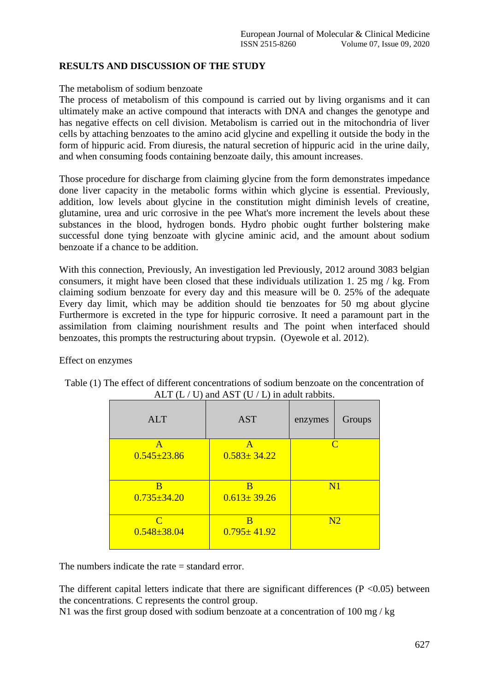# **RESULTS AND DISCUSSION OF THE STUDY**

## The metabolism of sodium benzoate

The process of metabolism of this compound is carried out by living organisms and it can ultimately make an active compound that interacts with DNA and changes the genotype and has negative effects on cell division. Metabolism is carried out in the mitochondria of liver cells by attaching benzoates to the amino acid glycine and expelling it outside the body in the form of hippuric acid. From diuresis, the natural secretion of hippuric acid in the urine daily, and when consuming foods containing benzoate daily, this amount increases.

Those procedure for discharge from claiming glycine from the form demonstrates impedance done liver capacity in the metabolic forms within which glycine is essential. Previously, addition, low levels about glycine in the constitution might diminish levels of creatine, glutamine, urea and uric corrosive in the pee What's more increment the levels about these substances in the blood, hydrogen bonds. Hydro phobic ought further bolstering make successful done tying benzoate with glycine aminic acid, and the amount about sodium benzoate if a chance to be addition.

With this connection, Previously, An investigation led Previously, 2012 around 3083 belgian consumers, it might have been closed that these individuals utilization 1. 25 mg / kg. From claiming sodium benzoate for every day and this measure will be 0. 25% of the adequate Every day limit, which may be addition should tie benzoates for 50 mg about glycine Furthermore is excreted in the type for hippuric corrosive. It need a paramount part in the assimilation from claiming nourishment results and The point when interfaced should benzoates, this prompts the restructuring about trypsin. (Oyewole et al. 2012).

#### Effect on enzymes

| ALT $(L / U)$ and AST $(U / L)$ in aguit rabbits. |                        |              |        |
|---------------------------------------------------|------------------------|--------------|--------|
| <b>ALT</b>                                        | <b>AST</b>             | enzymes      | Groups |
| A                                                 | A                      | $\mathcal C$ |        |
| $0.545 \pm 23.86$                                 | $0.583 \pm 34.22$      |              |        |
| B<br>$0.735 \pm 34.20$                            | В<br>$0.613 \pm 39.26$ | N1           |        |
| C<br>$0.548 \pm 38.04$                            | B<br>$0.795 \pm 41.92$ | N2           |        |

| Table (1) The effect of different concentrations of sodium benzoate on the concentration of |
|---------------------------------------------------------------------------------------------|
| ALT $(L / U)$ and AST $(U / L)$ in adult rabbits.                                           |

The numbers indicate the rate = standard error.

The different capital letters indicate that there are significant differences ( $P \le 0.05$ ) between the concentrations. C represents the control group.

N1 was the first group dosed with sodium benzoate at a concentration of 100 mg / kg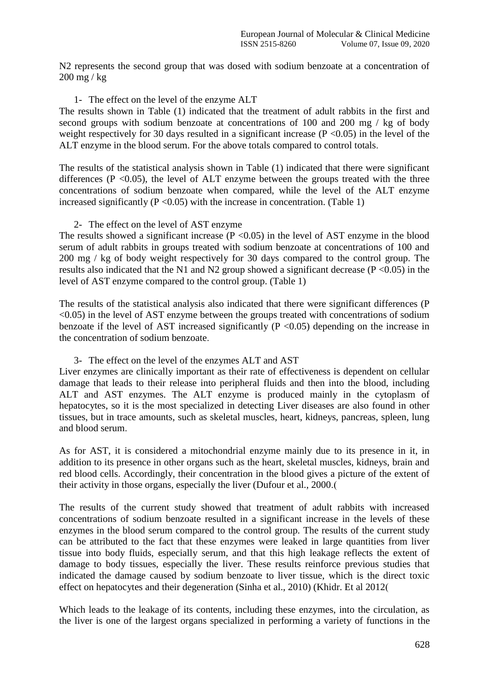N2 represents the second group that was dosed with sodium benzoate at a concentration of 200 mg / kg

1- The effect on the level of the enzyme ALT

The results shown in Table (1) indicated that the treatment of adult rabbits in the first and second groups with sodium benzoate at concentrations of 100 and 200 mg / kg of body weight respectively for 30 days resulted in a significant increase  $(P \le 0.05)$  in the level of the ALT enzyme in the blood serum. For the above totals compared to control totals.

The results of the statistical analysis shown in Table (1) indicated that there were significant differences ( $P \le 0.05$ ), the level of ALT enzyme between the groups treated with the three concentrations of sodium benzoate when compared, while the level of the ALT enzyme increased significantly ( $P \le 0.05$ ) with the increase in concentration. (Table 1)

## 2- The effect on the level of AST enzyme

The results showed a significant increase  $(P \le 0.05)$  in the level of AST enzyme in the blood serum of adult rabbits in groups treated with sodium benzoate at concentrations of 100 and 200 mg / kg of body weight respectively for 30 days compared to the control group. The results also indicated that the N1 and N2 group showed a significant decrease ( $P \le 0.05$ ) in the level of AST enzyme compared to the control group. (Table 1)

The results of the statistical analysis also indicated that there were significant differences (P  $\leq$ 0.05) in the level of AST enzyme between the groups treated with concentrations of sodium benzoate if the level of AST increased significantly ( $P \le 0.05$ ) depending on the increase in the concentration of sodium benzoate.

## 3- The effect on the level of the enzymes ALT and AST

Liver enzymes are clinically important as their rate of effectiveness is dependent on cellular damage that leads to their release into peripheral fluids and then into the blood, including ALT and AST enzymes. The ALT enzyme is produced mainly in the cytoplasm of hepatocytes, so it is the most specialized in detecting Liver diseases are also found in other tissues, but in trace amounts, such as skeletal muscles, heart, kidneys, pancreas, spleen, lung and blood serum.

As for AST, it is considered a mitochondrial enzyme mainly due to its presence in it, in addition to its presence in other organs such as the heart, skeletal muscles, kidneys, brain and red blood cells. Accordingly, their concentration in the blood gives a picture of the extent of their activity in those organs, especially the liver (Dufour et al., 2000.)

The results of the current study showed that treatment of adult rabbits with increased concentrations of sodium benzoate resulted in a significant increase in the levels of these enzymes in the blood serum compared to the control group. The results of the current study can be attributed to the fact that these enzymes were leaked in large quantities from liver tissue into body fluids, especially serum, and that this high leakage reflects the extent of damage to body tissues, especially the liver. These results reinforce previous studies that indicated the damage caused by sodium benzoate to liver tissue, which is the direct toxic effect on hepatocytes and their degeneration (Sinha et al., 2010) (Khidr. Et al 2012)

Which leads to the leakage of its contents, including these enzymes, into the circulation, as the liver is one of the largest organs specialized in performing a variety of functions in the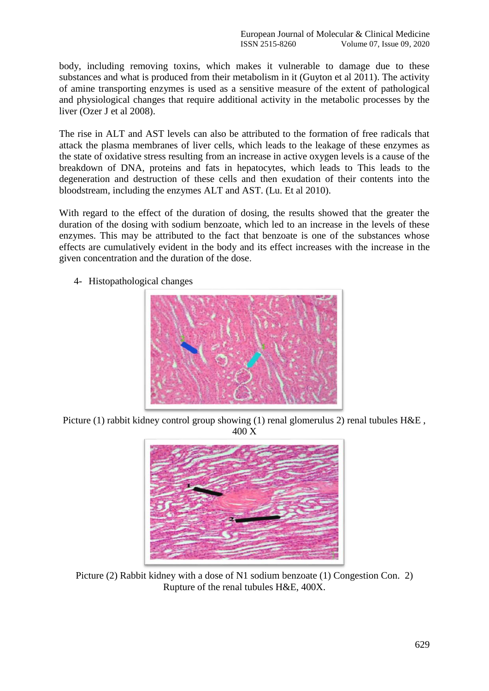body, including removing toxins, which makes it vulnerable to damage due to these substances and what is produced from their metabolism in it (Guyton et al 2011). The activity of amine transporting enzymes is used as a sensitive measure of the extent of pathological and physiological changes that require additional activity in the metabolic processes by the liver (Ozer J et al 2008).

The rise in ALT and AST levels can also be attributed to the formation of free radicals that attack the plasma membranes of liver cells, which leads to the leakage of these enzymes as the state of oxidative stress resulting from an increase in active oxygen levels is a cause of the breakdown of DNA, proteins and fats in hepatocytes, which leads to This leads to the degeneration and destruction of these cells and then exudation of their contents into the bloodstream, including the enzymes ALT and AST. (Lu. Et al 2010).

With regard to the effect of the duration of dosing, the results showed that the greater the duration of the dosing with sodium benzoate, which led to an increase in the levels of these enzymes. This may be attributed to the fact that benzoate is one of the substances whose effects are cumulatively evident in the body and its effect increases with the increase in the given concentration and the duration of the dose.

- 
- 4- Histopathological changes

Picture (1) rabbit kidney control group showing (1) renal glomerulus 2) renal tubules H&E, 400 X



Picture (2) Rabbit kidney with a dose of N1 sodium benzoate (1) Congestion Con. 2) Rupture of the renal tubules H&E, 400X.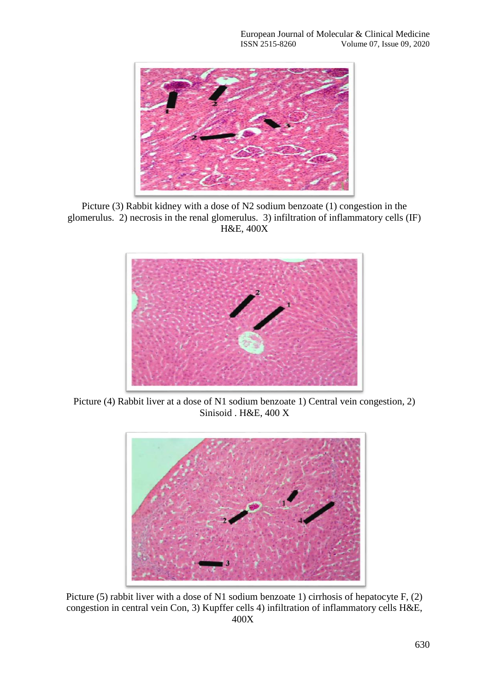

Picture (3) Rabbit kidney with a dose of N2 sodium benzoate (1) congestion in the glomerulus. 2) necrosis in the renal glomerulus. 3) infiltration of inflammatory cells (IF) H&E, 400X



Picture (4) Rabbit liver at a dose of N1 sodium benzoate 1) Central vein congestion, 2) Sinisoid . H&E, 400 X



Picture (5) rabbit liver with a dose of N1 sodium benzoate 1) cirrhosis of hepatocyte F, (2) congestion in central vein Con, 3) Kupffer cells 4) infiltration of inflammatory cells H&E, 400X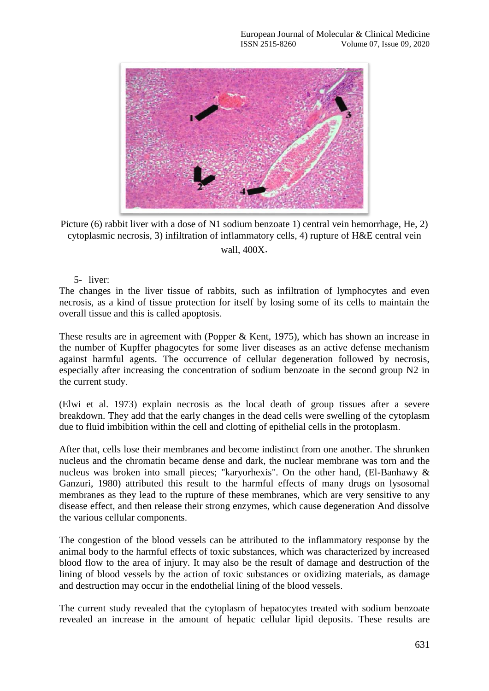

Picture (6) rabbit liver with a dose of N1 sodium benzoate 1) central vein hemorrhage, He, 2) cytoplasmic necrosis, 3) infiltration of inflammatory cells, 4) rupture of H&E central vein wall, 400X**.**

## 5- liver:

The changes in the liver tissue of rabbits, such as infiltration of lymphocytes and even necrosis, as a kind of tissue protection for itself by losing some of its cells to maintain the overall tissue and this is called apoptosis.

These results are in agreement with (Popper & Kent, 1975), which has shown an increase in the number of Kupffer phagocytes for some liver diseases as an active defense mechanism against harmful agents. The occurrence of cellular degeneration followed by necrosis, especially after increasing the concentration of sodium benzoate in the second group N2 in the current study.

(Elwi et al. 1973) explain necrosis as the local death of group tissues after a severe breakdown. They add that the early changes in the dead cells were swelling of the cytoplasm due to fluid imbibition within the cell and clotting of epithelial cells in the protoplasm.

After that, cells lose their membranes and become indistinct from one another. The shrunken nucleus and the chromatin became dense and dark, the nuclear membrane was torn and the nucleus was broken into small pieces; "karyorhexis". On the other hand, (El-Banhawy & Ganzuri, 1980) attributed this result to the harmful effects of many drugs on lysosomal membranes as they lead to the rupture of these membranes, which are very sensitive to any disease effect, and then release their strong enzymes, which cause degeneration And dissolve the various cellular components.

The congestion of the blood vessels can be attributed to the inflammatory response by the animal body to the harmful effects of toxic substances, which was characterized by increased blood flow to the area of injury. It may also be the result of damage and destruction of the lining of blood vessels by the action of toxic substances or oxidizing materials, as damage and destruction may occur in the endothelial lining of the blood vessels.

The current study revealed that the cytoplasm of hepatocytes treated with sodium benzoate revealed an increase in the amount of hepatic cellular lipid deposits. These results are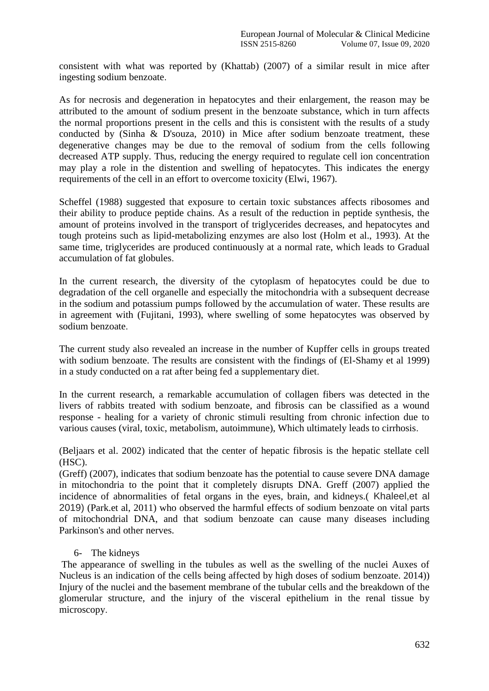consistent with what was reported by (Khattab) (2007) of a similar result in mice after ingesting sodium benzoate.

As for necrosis and degeneration in hepatocytes and their enlargement, the reason may be attributed to the amount of sodium present in the benzoate substance, which in turn affects the normal proportions present in the cells and this is consistent with the results of a study conducted by (Sinha & D'souza, 2010) in Mice after sodium benzoate treatment, these degenerative changes may be due to the removal of sodium from the cells following decreased ATP supply. Thus, reducing the energy required to regulate cell ion concentration may play a role in the distention and swelling of hepatocytes. This indicates the energy requirements of the cell in an effort to overcome toxicity (Elwi, 1967).

Scheffel (1988) suggested that exposure to certain toxic substances affects ribosomes and their ability to produce peptide chains. As a result of the reduction in peptide synthesis, the amount of proteins involved in the transport of triglycerides decreases, and hepatocytes and tough proteins such as lipid-metabolizing enzymes are also lost (Holm et al., 1993). At the same time, triglycerides are produced continuously at a normal rate, which leads to Gradual accumulation of fat globules.

In the current research, the diversity of the cytoplasm of hepatocytes could be due to degradation of the cell organelle and especially the mitochondria with a subsequent decrease in the sodium and potassium pumps followed by the accumulation of water. These results are in agreement with (Fujitani, 1993), where swelling of some hepatocytes was observed by sodium benzoate.

The current study also revealed an increase in the number of Kupffer cells in groups treated with sodium benzoate. The results are consistent with the findings of (El-Shamy et al 1999) in a study conducted on a rat after being fed a supplementary diet.

In the current research, a remarkable accumulation of collagen fibers was detected in the livers of rabbits treated with sodium benzoate, and fibrosis can be classified as a wound response - healing for a variety of chronic stimuli resulting from chronic infection due to various causes (viral, toxic, metabolism, autoimmune), Which ultimately leads to cirrhosis.

(Beljaars et al. 2002) indicated that the center of hepatic fibrosis is the hepatic stellate cell (HSC).

(Greff) (2007), indicates that sodium benzoate has the potential to cause severe DNA damage in mitochondria to the point that it completely disrupts DNA. Greff (2007) applied the incidence of abnormalities of fetal organs in the eyes, brain, and kidneys.( Khaleel,et al 2019) (Park.et al, 2011) who observed the harmful effects of sodium benzoate on vital parts of mitochondrial DNA, and that sodium benzoate can cause many diseases including Parkinson's and other nerves.

## 6- The kidneys

The appearance of swelling in the tubules as well as the swelling of the nuclei Auxes of Nucleus is an indication of the cells being affected by high doses of sodium benzoate. 2014)) Injury of the nuclei and the basement membrane of the tubular cells and the breakdown of the glomerular structure, and the injury of the visceral epithelium in the renal tissue by microscopy.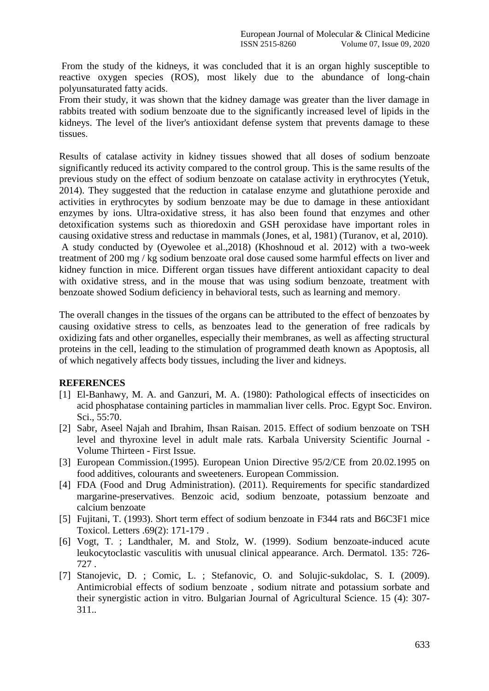From the study of the kidneys, it was concluded that it is an organ highly susceptible to reactive oxygen species (ROS), most likely due to the abundance of long-chain polyunsaturated fatty acids.

From their study, it was shown that the kidney damage was greater than the liver damage in rabbits treated with sodium benzoate due to the significantly increased level of lipids in the kidneys. The level of the liver's antioxidant defense system that prevents damage to these tissues.

Results of catalase activity in kidney tissues showed that all doses of sodium benzoate significantly reduced its activity compared to the control group. This is the same results of the previous study on the effect of sodium benzoate on catalase activity in erythrocytes (Yetuk, 2014). They suggested that the reduction in catalase enzyme and glutathione peroxide and activities in erythrocytes by sodium benzoate may be due to damage in these antioxidant enzymes by ions. Ultra-oxidative stress, it has also been found that enzymes and other detoxification systems such as thioredoxin and GSH peroxidase have important roles in causing oxidative stress and reductase in mammals (Jones, et al, 1981) (Turanov, et al, 2010). A study conducted by (Oyewolee et al.,2018) (Khoshnoud et al. 2012) with a two-week treatment of 200 mg / kg sodium benzoate oral dose caused some harmful effects on liver and kidney function in mice. Different organ tissues have different antioxidant capacity to deal with oxidative stress, and in the mouse that was using sodium benzoate, treatment with benzoate showed Sodium deficiency in behavioral tests, such as learning and memory.

The overall changes in the tissues of the organs can be attributed to the effect of benzoates by causing oxidative stress to cells, as benzoates lead to the generation of free radicals by oxidizing fats and other organelles, especially their membranes, as well as affecting structural proteins in the cell, leading to the stimulation of programmed death known as Apoptosis, all of which negatively affects body tissues, including the liver and kidneys.

## **REFERENCES**

- [1] El-Banhawy, M. A. and Ganzuri, M. A. (1980): Pathological effects of insecticides on acid phosphatase containing particles in mammalian liver cells. Proc. Egypt Soc. Environ. Sci., 55:70.
- [2] Sabr, Aseel Najah and Ibrahim, Ihsan Raisan. 2015. Effect of sodium benzoate on TSH level and thyroxine level in adult male rats. Karbala University Scientific Journal - Volume Thirteen - First Issue.
- [3] European Commission.(1995). European Union Directive 95/2/CE from 20.02.1995 on food additives, colourants and sweeteners. European Commission.
- [4] FDA (Food and Drug Administration). (2011). Requirements for specific standardized margarine-preservatives. Benzoic acid, sodium benzoate, potassium benzoate and calcium benzoate
- [5] Fujitani, T. (1993). Short term effect of sodium benzoate in F344 rats and B6C3F1 mice Toxicol. Letters .69(2): 171-179 .
- [6] Vogt, T. ; Landthaler, M. and Stolz, W. (1999). Sodium benzoate-induced acute leukocytoclastic vasculitis with unusual clinical appearance. Arch. Dermatol. 135: 726- 727 .
- [7] Stanojevic, D. ; Comic, L. ; Stefanovic, O. and Solujic-sukdolac, S. I. (2009). Antimicrobial effects of sodium benzoate , sodium nitrate and potassium sorbate and their synergistic action in vitro. Bulgarian Journal of Agricultural Science. 15 (4): 307- 311..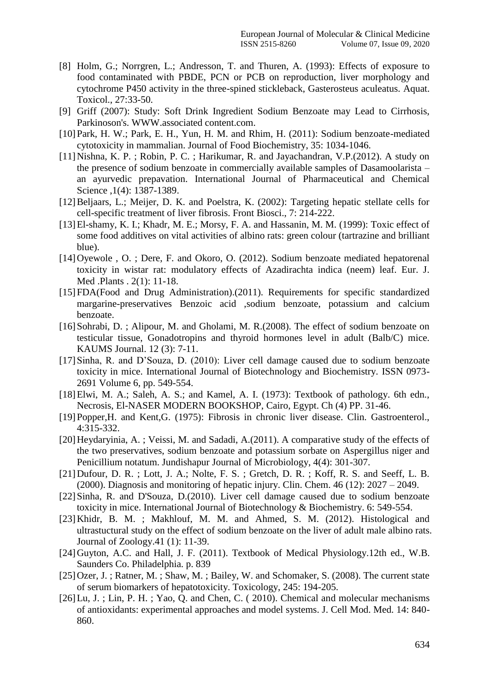- [8] Holm, G.; Norrgren, L.; Andresson, T. and Thuren, A. (1993): Effects of exposure to food contaminated with PBDE, PCN or PCB on reproduction, liver morphology and cytochrome P450 activity in the three-spined stickleback, Gasterosteus aculeatus. Aquat. Toxicol., 27:33-50.
- [9] Griff (2007): Study: Soft Drink Ingredient Sodium Benzoate may Lead to Cirrhosis, Parkinoson's. WWW.associated content.com.
- [10] Park, H. W.; Park, E. H., Yun, H. M. and Rhim, H. (2011): Sodium benzoate-mediated cytotoxicity in mammalian. Journal of Food Biochemistry, 35: 1034-1046.
- [11]Nishna, K. P. ; Robin, P. C. ; Harikumar, R. and Jayachandran, V.P.(2012). A study on the presence of sodium benzoate in commercially available samples of Dasamoolarista – an ayurvedic prepavation. International Journal of Pharmaceutical and Chemical Science ,1(4): 1387-1389.
- [12] Beljaars, L.; Meijer, D. K. and Poelstra, K. (2002): Targeting hepatic stellate cells for cell-specific treatment of liver fibrosis. Front Biosci., 7: 214-222.
- [13] El-shamy, K. I.; Khadr, M. E.; Morsy, F. A. and Hassanin, M. M. (1999): Toxic effect of some food additives on vital activities of albino rats: green colour (tartrazine and brilliant blue).
- [14] Oyewole, O.; Dere, F. and Okoro, O. (2012). Sodium benzoate mediated hepatorenal toxicity in wistar rat: modulatory effects of Azadirachta indica (neem) leaf. Eur. J. Med .Plants . 2(1): 11-18.
- [15]FDA(Food and Drug Administration).(2011). Requirements for specific standardized margarine-preservatives Benzoic acid ,sodium benzoate, potassium and calcium benzoate.
- [16]Sohrabi, D. ; Alipour, M. and Gholami, M. R.(2008). The effect of sodium benzoate on testicular tissue, Gonadotropins and thyroid hormones level in adult (Balb/C) mice. KAUMS Journal. 12 (3): 7-11.
- [17]Sinha, R. and D'Souza, D. (2010): Liver cell damage caused due to sodium benzoate toxicity in mice. International Journal of Biotechnology and Biochemistry. ISSN 0973- 2691 Volume 6, pp. 549-554.
- [18] Elwi, M. A.; Saleh, A. S.; and Kamel, A. I. (1973): Textbook of pathology. 6th edn., Necrosis, El-NASER MODERN BOOKSHOP, Cairo, Egypt. Ch (4) PP. 31-46.
- [19]Popper,H. and Kent,G. (1975): Fibrosis in chronic liver disease. Clin. Gastroenterol., 4:315-332.
- [20] Heydaryinia, A.; Veissi, M. and Sadadi, A.(2011). A comparative study of the effects of the two preservatives, sodium benzoate and potassium sorbate on Aspergillus niger and Penicillium notatum. Jundishapur Journal of Microbiology, 4(4): 301-307.
- [21]Dufour, D. R. ; Lott, J. A.; Nolte, F. S. ; Gretch, D. R. ; Koff, R. S. and Seeff, L. B. (2000). Diagnosis and monitoring of hepatic injury. Clin. Chem. 46 (12): 2027 – 2049.
- [22]Sinha, R. and D'Souza, D.(2010). Liver cell damage caused due to sodium benzoate toxicity in mice. International Journal of Biotechnology & Biochemistry. 6: 549-554.
- [23] Khidr, B. M. ; Makhlouf, M. M. and Ahmed, S. M. (2012). Histological and ultrastuctural study on the effect of sodium benzoate on the liver of adult male albino rats. Journal of Zoology.41 (1): 11-39.
- [24] Guyton, A.C. and Hall, J. F. (2011). Textbook of Medical Physiology.12th ed., W.B. Saunders Co. Philadelphia. p. 839
- [25] Ozer, J.; Ratner, M.; Shaw, M.; Bailey, W. and Schomaker, S. (2008). The current state of serum biomarkers of hepatotoxicity. Toxicology, 245: 194-205.
- [26] Lu, J.; Lin, P. H.; Yao, Q. and Chen, C. (2010). Chemical and molecular mechanisms of antioxidants: experimental approaches and model systems. J. Cell Mod. Med. 14: 840- 860.